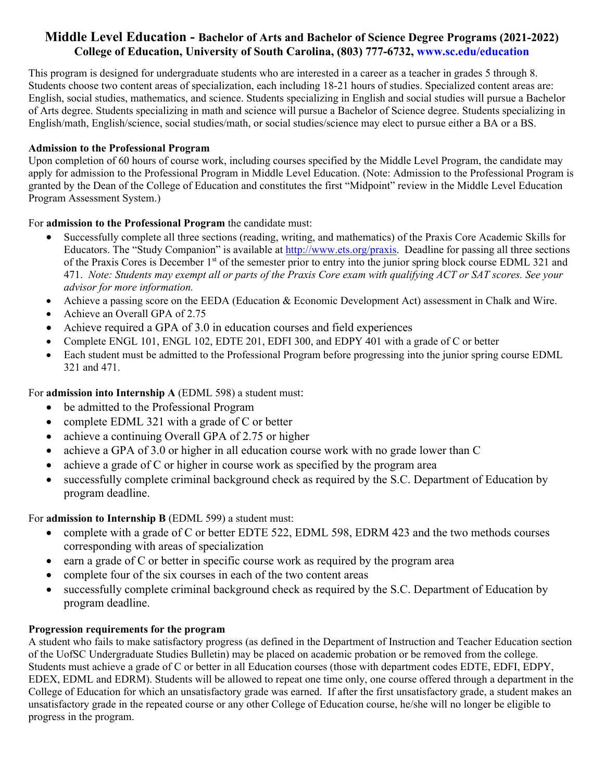# **Middle Level Education - Bachelor of Arts and Bachelor of Science Degree Programs (2021-2022) College of Education, University of South Carolina, (803) 777-6732, <www.sc.edu/education>**

This program is designed for undergraduate students who are interested in a career as a teacher in grades 5 through 8. Students choose two content areas of specialization, each including 18-21 hours of studies. Specialized content areas are: English, social studies, mathematics, and science. Students specializing in English and social studies will pursue a Bachelor of Arts degree. Students specializing in math and science will pursue a Bachelor of Science degree. Students specializing in English/math, English/science, social studies/math, or social studies/science may elect to pursue either a BA or a BS.

# **Admission to the Professional Program**

Upon completion of 60 hours of course work, including courses specified by the Middle Level Program, the candidate may apply for admission to the Professional Program in Middle Level Education. (Note: Admission to the Professional Program is granted by the Dean of the College of Education and constitutes the first "Midpoint" review in the Middle Level Education Program Assessment System.)

For **admission to the Professional Program** the candidate must:

- Successfully complete all three sections (reading, writing, and mathematics) of the Praxis Core Academic Skills for Educators. The "Study Companion" is available at <http://www.ets.org/praxis>. Deadline for passing all three sections of the Praxis Cores is December  $1<sup>st</sup>$  of the semester prior to entry into the junior spring block course EDML 321 and 471. *Note: Students may exempt all or parts of the Praxis Core exam with qualifying ACT or SAT scores. See your advisor for more information.*
- Achieve a passing score on the EEDA (Education & Economic Development Act) assessment in Chalk and Wire.
- Achieve an Overall GPA of 2.75
- Achieve required a GPA of 3.0 in education courses and field experiences
- Complete ENGL 101, ENGL 102, EDTE 201, EDFI 300, and EDPY 401 with a grade of C or better
- Each student must be admitted to the Professional Program before progressing into the junior spring course EDML 321 and 471.

For **admission into Internship A** (EDML 598) a student must:

- be admitted to the Professional Program
- complete EDML 321 with a grade of C or better
- achieve a continuing Overall GPA of 2.75 or higher
- achieve a GPA of 3.0 or higher in all education course work with no grade lower than C
- achieve a grade of C or higher in course work as specified by the program area
- successfully complete criminal background check as required by the S.C. Department of Education by program deadline.

For **admission to Internship B** (EDML 599) a student must:

- complete with a grade of C or better EDTE 522, EDML 598, EDRM 423 and the two methods courses corresponding with areas of specialization
- $\bullet$  earn a grade of C or better in specific course work as required by the program area
- complete four of the six courses in each of the two content areas
- successfully complete criminal background check as required by the S.C. Department of Education by program deadline.

# **Progression requirements for the program**

A student who fails to make satisfactory progress (as defined in the Department of Instruction and Teacher Education section of the UofSC Undergraduate Studies Bulletin) may be placed on academic probation or be removed from the college. Students must achieve a grade of C or better in all Education courses (those with department codes EDTE, EDFI, EDPY, EDEX, EDML and EDRM). Students will be allowed to repeat one time only, one course offered through a department in the College of Education for which an unsatisfactory grade was earned. If after the first unsatisfactory grade, a student makes an unsatisfactory grade in the repeated course or any other College of Education course, he/she will no longer be eligible to progress in the program.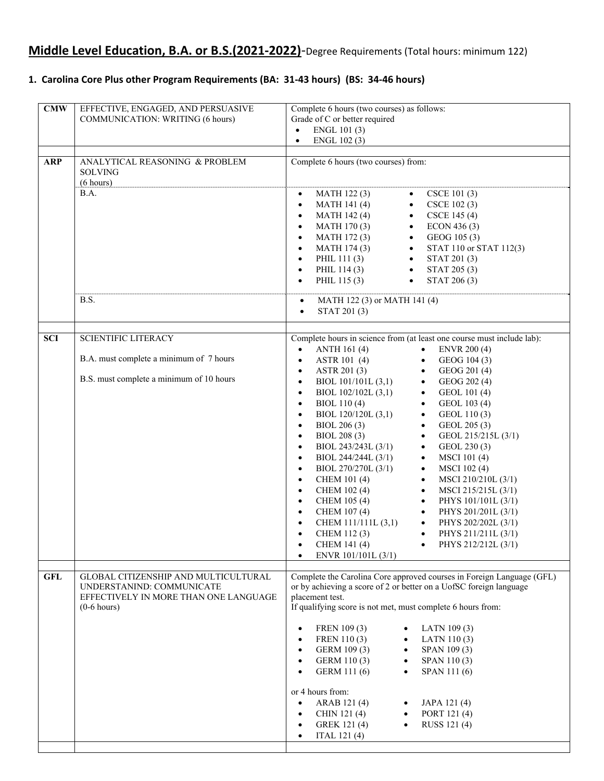# **Middle Level Education, B.A. or B.S.(2021‐2022)**‐Degree Requirements (Total hours: minimum 122)

## 1. Carolina Core Plus other Program Requirements (BA: 31-43 hours) (BS: 34-46 hours)

| CMW        | EFFECTIVE, ENGAGED, AND PERSUASIVE<br><b>COMMUNICATION: WRITING (6 hours)</b>                                               | Complete 6 hours (two courses) as follows:<br>Grade of C or better required<br>ENGL 101 (3)<br>$\bullet$<br>ENGL 102 (3)<br>$\bullet$                                                                                                                                                                                                                                                                                                                                                                                                                                                                                                                                                                                                                                                                                                                                                                                                                                                                                                                                                            |
|------------|-----------------------------------------------------------------------------------------------------------------------------|--------------------------------------------------------------------------------------------------------------------------------------------------------------------------------------------------------------------------------------------------------------------------------------------------------------------------------------------------------------------------------------------------------------------------------------------------------------------------------------------------------------------------------------------------------------------------------------------------------------------------------------------------------------------------------------------------------------------------------------------------------------------------------------------------------------------------------------------------------------------------------------------------------------------------------------------------------------------------------------------------------------------------------------------------------------------------------------------------|
| <b>ARP</b> | ANALYTICAL REASONING & PROBLEM<br><b>SOLVING</b><br>(6 hours)                                                               | Complete 6 hours (two courses) from:                                                                                                                                                                                                                                                                                                                                                                                                                                                                                                                                                                                                                                                                                                                                                                                                                                                                                                                                                                                                                                                             |
|            | B.A.                                                                                                                        | MATH 122(3)<br>CSCE 101 (3)<br>$\bullet$<br>$\bullet$<br><b>MATH 141 (4)</b><br>CSCE 102 (3)<br>$\bullet$<br>$\bullet$<br>MATH 142 (4)<br>CSCE 145 (4)<br>$\bullet$<br>$\bullet$<br>ECON 436 (3)<br>MATH 170(3)<br>$\bullet$<br>$\bullet$<br><b>MATH 172(3)</b><br>GEOG 105 (3)<br>$\bullet$<br>$\bullet$<br><b>MATH 174 (3)</b><br>STAT 110 or STAT 112(3)<br>$\bullet$<br>$\bullet$<br>PHIL 111(3)<br>STAT 201 (3)<br>$\bullet$<br>$\bullet$<br>PHIL 114 (3)<br>$\bullet$<br>STAT 205 (3)<br>$\bullet$<br>PHIL 115 (3)<br>STAT 206 (3)<br>$\bullet$<br>$\bullet$                                                                                                                                                                                                                                                                                                                                                                                                                                                                                                                               |
|            | B.S.                                                                                                                        | MATH 122 (3) or MATH 141 (4)<br>$\bullet$<br>STAT 201 (3)<br>$\bullet$                                                                                                                                                                                                                                                                                                                                                                                                                                                                                                                                                                                                                                                                                                                                                                                                                                                                                                                                                                                                                           |
| <b>SCI</b> | <b>SCIENTIFIC LITERACY</b><br>B.A. must complete a minimum of 7 hours                                                       | Complete hours in science from (at least one course must include lab):<br>ANTH 161 (4)<br><b>ENVR 200 (4)</b><br>$\bullet$<br>$\bullet$<br>ASTR 101 (4)<br>GEOG 104 (3)<br>$\bullet$<br>$\bullet$<br>ASTR 201 (3)<br>GEOG 201 (4)<br>$\bullet$<br>$\bullet$                                                                                                                                                                                                                                                                                                                                                                                                                                                                                                                                                                                                                                                                                                                                                                                                                                      |
|            | B.S. must complete a minimum of 10 hours                                                                                    | BIOL 101/101L (3,1)<br>$\bullet$<br>GEOG 202 (4)<br>$\bullet$<br>BIOL $102/102L(3,1)$<br>GEOL 101 (4)<br>$\bullet$<br>$\bullet$<br>BIOL 110(4)<br>GEOL 103 (4)<br>$\bullet$<br>$\bullet$<br>BIOL 120/120L (3,1)<br>GEOL 110(3)<br>$\bullet$<br>$\bullet$<br>BIOL 206 (3)<br>GEOL 205 (3)<br>$\bullet$<br>$\bullet$<br>BIOL 208 (3)<br>GEOL 215/215L (3/1)<br>$\bullet$<br>$\bullet$<br>BIOL 243/243L (3/1)<br>GEOL 230 (3)<br>$\bullet$<br>$\bullet$<br>BIOL 244/244L (3/1)<br><b>MSCI</b> 101(4)<br>$\bullet$<br>$\bullet$<br>BIOL 270/270L (3/1)<br><b>MSCI</b> 102(4)<br>$\bullet$<br>$\bullet$<br>CHEM 101 (4)<br>MSCI 210/210L (3/1)<br>$\bullet$<br>$\bullet$<br><b>CHEM 102 (4)</b><br>MSCI 215/215L (3/1)<br>$\bullet$<br>$\bullet$<br>CHEM 105 (4)<br>PHYS 101/101L (3/1)<br>$\bullet$<br>$\bullet$<br>CHEM 107 (4)<br>PHYS 201/201L (3/1)<br>$\bullet$<br>$\bullet$<br>CHEM 111/111L (3,1)<br>PHYS 202/202L (3/1)<br>$\bullet$<br>$\bullet$<br>CHEM 112(3)<br>PHYS 211/211L (3/1)<br>$\bullet$<br>$\bullet$<br>CHEM 141 (4)<br>PHYS 212/212L (3/1)<br>ENVR 101/101L (3/1)<br>$\bullet$ |
| <b>GFL</b> | GLOBAL CITIZENSHIP AND MULTICULTURAL<br>UNDERSTANIND: COMMUNICATE<br>EFFECTIVELY IN MORE THAN ONE LANGUAGE<br>$(0-6$ hours) | Complete the Carolina Core approved courses in Foreign Language (GFL)<br>or by achieving a score of 2 or better on a UofSC foreign language<br>placement test.<br>If qualifying score is not met, must complete 6 hours from:<br>FREN 109 (3)<br>LATN 109 (3)<br>FREN 110 (3)<br>LATN 110(3)<br>$\bullet$<br>SPAN 109 (3)<br>GERM 109 (3)<br>$\bullet$                                                                                                                                                                                                                                                                                                                                                                                                                                                                                                                                                                                                                                                                                                                                           |
|            |                                                                                                                             | GERM 110 (3)<br>SPAN 110(3)<br>$\bullet$<br>GERM 111 (6)<br>SPAN 111 (6)<br>$\bullet$<br>or 4 hours from:<br>ARAB 121(4)<br>JAPA 121 (4)<br>PORT 121 (4)<br>CHIN 121 (4)<br>$\bullet$<br>GREK 121 (4)<br>RUSS 121 (4)<br>$\bullet$<br>ITAL 121(4)<br>$\bullet$                                                                                                                                                                                                                                                                                                                                                                                                                                                                                                                                                                                                                                                                                                                                                                                                                                   |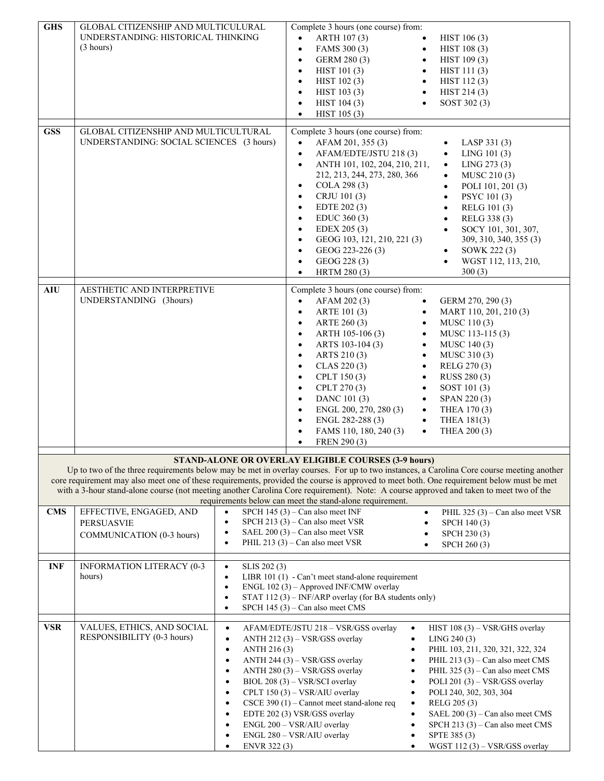| <b>GHS</b> | GLOBAL CITIZENSHIP AND MULTICULURAL<br>UNDERSTANDING: HISTORICAL THINKING<br>(3 hours)                                                                                                                                                                                                                                                                                                                                          |                                                                                                                                                                                                       | $\bullet$<br>$\bullet$<br>$\bullet$<br>$\bullet$<br>$\bullet$<br>$\bullet$<br>$\bullet$<br>$\bullet$                                                                               | Complete 3 hours (one course) from:<br>ARTH 107 (3)<br>FAMS 300 (3)<br>GERM 280 (3)<br>HIST 101 (3)<br>HIST 102 (3)<br>HIST 103 (3)<br>HIST 104 (3)<br>HIST 105 (3)                                                                                                                                                   | $\bullet$<br>$\bullet$<br>$\bullet$<br>$\bullet$<br>$\bullet$<br>$\bullet$<br>$\bullet$                                                                               | HIST 106 (3)<br>HIST 108 (3)<br>HIST 109 (3)<br>HIST 111 (3)<br>HIST 112(3)<br>HIST 214(3)<br>SOST 302 (3)                                                                                                                                                                                                                                                                         |
|------------|---------------------------------------------------------------------------------------------------------------------------------------------------------------------------------------------------------------------------------------------------------------------------------------------------------------------------------------------------------------------------------------------------------------------------------|-------------------------------------------------------------------------------------------------------------------------------------------------------------------------------------------------------|------------------------------------------------------------------------------------------------------------------------------------------------------------------------------------|-----------------------------------------------------------------------------------------------------------------------------------------------------------------------------------------------------------------------------------------------------------------------------------------------------------------------|-----------------------------------------------------------------------------------------------------------------------------------------------------------------------|------------------------------------------------------------------------------------------------------------------------------------------------------------------------------------------------------------------------------------------------------------------------------------------------------------------------------------------------------------------------------------|
| <b>GSS</b> | GLOBAL CITIZENSHIP AND MULTICULTURAL<br>UNDERSTANDING: SOCIAL SCIENCES (3 hours)                                                                                                                                                                                                                                                                                                                                                |                                                                                                                                                                                                       | $\bullet$<br>$\bullet$<br>$\bullet$<br>$\bullet$<br>$\bullet$<br>$\bullet$<br>$\bullet$<br>$\bullet$<br>$\bullet$<br>$\bullet$<br>$\bullet$<br>$\bullet$                           | Complete 3 hours (one course) from:<br>AFAM 201, 355 (3)<br>AFAM/EDTE/JSTU 218 (3)<br>ANTH 101, 102, 204, 210, 211,<br>212, 213, 244, 273, 280, 366<br>COLA 298 (3)<br>CRJU 101 (3)<br>EDTE 202 (3)<br>EDUC 360(3)<br>EDEX 205 (3)<br>GEOG 103, 121, 210, 221 (3)<br>GEOG 223-226 (3)<br>GEOG 228 (3)<br>HRTM 280 (3) |                                                                                                                                                                       | LASP 331 (3)<br>$\bullet$<br>LING 101 (3)<br>$\bullet$<br>LING 273 (3)<br>$\bullet$<br>MUSC 210 (3)<br>$\bullet$<br>POLI 101, 201 (3)<br>$\bullet$<br>PSYC 101 (3)<br>$\bullet$<br>$\bullet$<br>RELG 101 (3)<br>RELG 338 (3)<br>$\bullet$<br>SOCY 101, 301, 307,<br>$\bullet$<br>309, 310, 340, 355 (3)<br>SOWK 222 (3)<br>$\bullet$<br>$\bullet$<br>WGST 112, 113, 210,<br>300(3) |
| <b>AIU</b> | AESTHETIC AND INTERPRETIVE<br>UNDERSTANDING (3hours)                                                                                                                                                                                                                                                                                                                                                                            |                                                                                                                                                                                                       | $\bullet$<br>$\bullet$<br>$\bullet$<br>$\bullet$<br>$\bullet$<br>$\bullet$<br>$\bullet$<br>$\bullet$<br>$\bullet$<br>$\bullet$<br>$\bullet$<br>$\bullet$<br>$\bullet$<br>$\bullet$ | Complete 3 hours (one course) from:<br>AFAM 202 (3)<br>ARTE 101 (3)<br>ARTE 260 (3)<br>ARTH 105-106 (3)<br>ARTS 103-104 (3)<br>ARTS 210 (3)<br>CLAS 220(3)<br>CPLT 150 (3)<br>CPLT 270 (3)<br>DANC 101 (3)<br>ENGL 200, 270, 280 (3)<br>ENGL 282-288 (3)<br>FAMS 110, 180, 240 (3)<br>FREN 290 (3)                    | $\bullet$<br>$\bullet$<br>$\bullet$<br>$\bullet$<br>$\bullet$<br>$\bullet$<br>$\bullet$<br>$\bullet$<br>$\bullet$<br>$\bullet$<br>$\bullet$<br>$\bullet$<br>$\bullet$ | GERM 270, 290 (3)<br>MART 110, 201, 210 (3)<br>MUSC 110(3)<br>MUSC 113-115 (3)<br>MUSC 140 (3)<br>MUSC 310 (3)<br>RELG 270 (3)<br>RUSS 280 (3)<br>SOST 101 (3)<br>SPAN 220 (3)<br>THEA 170 (3)<br>THEA 181(3)<br>THEA 200 (3)                                                                                                                                                      |
|            | Up to two of the three requirements below may be met in overlay courses. For up to two instances, a Carolina Core course meeting another<br>core requirement may also meet one of these requirements, provided the course is approved to meet both. One requirement below must be met<br>with a 3-hour stand-alone course (not meeting another Carolina Core requirement). Note: A course approved and taken to meet two of the |                                                                                                                                                                                                       |                                                                                                                                                                                    | STAND-ALONE OR OVERLAY ELIGIBLE COURSES (3-9 hours)<br>requirements below can meet the stand-alone requirement.                                                                                                                                                                                                       |                                                                                                                                                                       |                                                                                                                                                                                                                                                                                                                                                                                    |
| <b>CMS</b> | EFFECTIVE, ENGAGED, AND<br><b>PERSUASVIE</b><br>COMMUNICATION (0-3 hours)                                                                                                                                                                                                                                                                                                                                                       | $\bullet$<br>$\bullet$<br>$\bullet$<br>$\bullet$                                                                                                                                                      |                                                                                                                                                                                    | SPCH $145(3)$ – Can also meet INF<br>SPCH 213 $(3)$ – Can also meet VSR<br>SAEL $200(3)$ – Can also meet VSR<br>PHIL 213 $(3)$ – Can also meet VSR                                                                                                                                                                    | $\bullet$                                                                                                                                                             | PHIL 325 (3) – Can also meet VSR<br>SPCH 140 (3)<br>SPCH 230 (3)<br>SPCH 260 (3)                                                                                                                                                                                                                                                                                                   |
| <b>INF</b> | <b>INFORMATION LITERACY (0-3</b><br>hours)                                                                                                                                                                                                                                                                                                                                                                                      | SLIS 202 (3)<br>$\bullet$<br>$\bullet$<br>$\bullet$<br>$\bullet$                                                                                                                                      |                                                                                                                                                                                    | LIBR 101 (1) - Can't meet stand-alone requirement<br>ENGL 102 (3) - Approved INF/CMW overlay<br>STAT 112 (3) - INF/ARP overlay (for BA students only)<br>SPCH $145(3)$ – Can also meet CMS                                                                                                                            |                                                                                                                                                                       |                                                                                                                                                                                                                                                                                                                                                                                    |
| <b>VSR</b> | VALUES, ETHICS, AND SOCIAL<br>RESPONSIBILITY (0-3 hours)                                                                                                                                                                                                                                                                                                                                                                        | $\bullet$<br>$\bullet$<br>ANTH 216 (3)<br>$\bullet$<br>$\bullet$<br>$\bullet$<br>$\bullet$<br>ENGL 200 - VSR/AIU overlay<br>$\bullet$<br>ENGL 280 - VSR/AIU overlay<br>$\bullet$<br>ENVR 322 (3)<br>٠ |                                                                                                                                                                                    | AFAM/EDTE/JSTU 218 - VSR/GSS overlay<br>ANTH 212 (3) - VSR/GSS overlay<br>ANTH 244 (3) - VSR/GSS overlay<br>ANTH $280(3) - VSR/GSS$ overlay<br>BIOL 208 (3) - VSR/SCI overlay<br>CPLT 150 (3) - VSR/AIU overlay<br>CSCE 390 (1) - Cannot meet stand-alone req<br>EDTE 202 (3) VSR/GSS overlay                         | $\bullet$<br>$\bullet$<br>$\bullet$<br>$\bullet$<br>٠<br>$\bullet$                                                                                                    | HIST 108 (3) - VSR/GHS overlay<br>LING 240(3)<br>PHIL 103, 211, 320, 321, 322, 324<br>PHIL 213 $(3)$ – Can also meet CMS<br>PHIL $325(3)$ – Can also meet CMS<br>POLI 201 (3) – VSR/GSS overlay<br>POLI 240, 302, 303, 304<br>RELG 205 (3)<br>SAEL $200(3)$ – Can also meet CMS<br>SPCH 213 $(3)$ – Can also meet CMS<br>SPTE 385 (3)<br>WGST 112 (3) – VSR/GSS overlay            |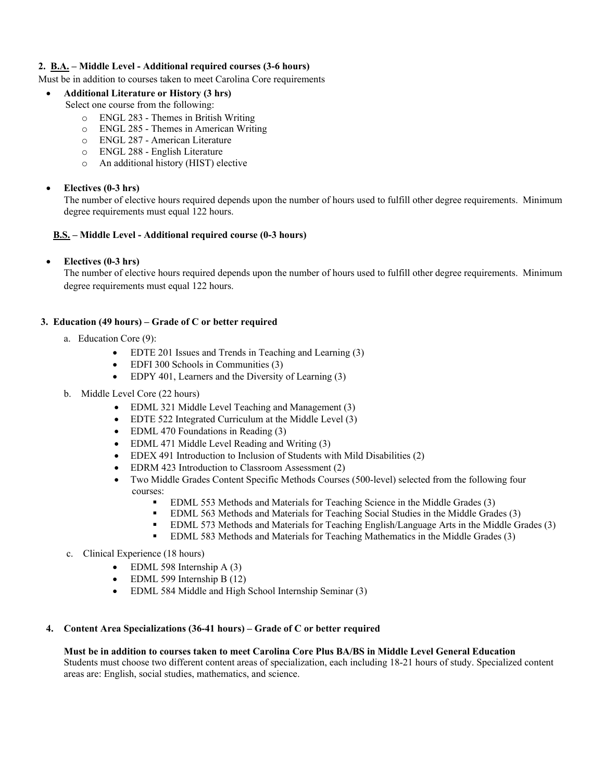### **2. B.A. – Middle Level - Additional required courses (3-6 hours)**

#### Must be in addition to courses taken to meet Carolina Core requirements

- **Additional Literature or History (3 hrs)**
	- Select one course from the following:
		- o ENGL 283 Themes in British Writing
		- o ENGL 285 Themes in American Writing
		- o ENGL 287 American Literature
		- o ENGL 288 English Literature
		- o An additional history (HIST) elective

### **Electives (0-3 hrs)**

The number of elective hours required depends upon the number of hours used to fulfill other degree requirements. Minimum degree requirements must equal 122 hours.

### **B.S. – Middle Level - Additional required course (0-3 hours)**

**Electives (0-3 hrs)** 

The number of elective hours required depends upon the number of hours used to fulfill other degree requirements. Minimum degree requirements must equal 122 hours.

### **3. Education (49 hours) – Grade of C or better required**

- a. Education Core (9):
	- EDTE 201 Issues and Trends in Teaching and Learning (3)
	- EDFI 300 Schools in Communities (3)
	- EDPY 401, Learners and the Diversity of Learning (3)
- b. Middle Level Core (22 hours)
	- EDML 321 Middle Level Teaching and Management (3)
	- EDTE 522 Integrated Curriculum at the Middle Level (3)
	- EDML 470 Foundations in Reading (3)
	- EDML 471 Middle Level Reading and Writing (3)
	- EDEX 491 Introduction to Inclusion of Students with Mild Disabilities (2)
	- EDRM 423 Introduction to Classroom Assessment (2)
	- Two Middle Grades Content Specific Methods Courses (500-level) selected from the following four courses:
		- EDML 553 Methods and Materials for Teaching Science in the Middle Grades (3)
		- EDML 563 Methods and Materials for Teaching Social Studies in the Middle Grades (3)
		- EDML 573 Methods and Materials for Teaching English/Language Arts in the Middle Grades (3)
		- **EDML 583 Methods and Materials for Teaching Mathematics in the Middle Grades (3)**
- c. Clinical Experience (18 hours)
	- EDML 598 Internship A (3)
	- EDML 599 Internship B (12)
	- EDML 584 Middle and High School Internship Seminar (3)

# **4. Content Area Specializations (36-41 hours) – Grade of C or better required**

# **Must be in addition to courses taken to meet Carolina Core Plus BA/BS in Middle Level General Education**

Students must choose two different content areas of specialization, each including 18-21 hours of study. Specialized content areas are: English, social studies, mathematics, and science.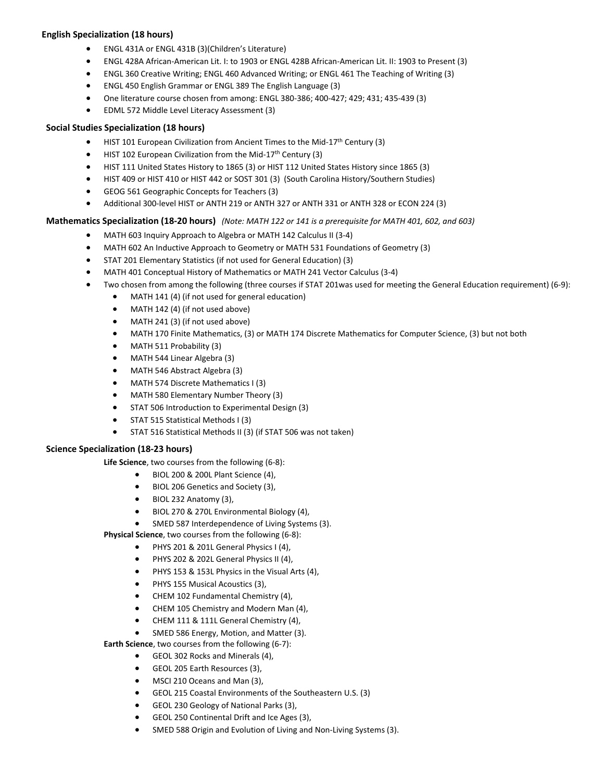### **English Specialization (18 hours)**

- ENGL 431A or ENGL 431B (3)(Children's Literature)
- ENGL 428A African‐American Lit. I: to 1903 or ENGL 428B African‐American Lit. II: 1903 to Present (3)
- ENGL 360 Creative Writing; ENGL 460 Advanced Writing; or ENGL 461 The Teaching of Writing (3)
- ENGL 450 English Grammar or ENGL 389 The English Language (3)
- One literature course chosen from among: ENGL 380‐386; 400‐427; 429; 431; 435‐439 (3)
- EDML 572 Middle Level Literacy Assessment (3)

#### **Social Studies Specialization (18 hours)**

- HIST 101 European Civilization from Ancient Times to the Mid-17<sup>th</sup> Century (3)
- HIST 102 European Civilization from the Mid-17<sup>th</sup> Century (3)
- HIST 111 United States History to 1865 (3) or HIST 112 United States History since 1865 (3)
- HIST 409 or HIST 410 or HIST 442 or SOST 301 (3) (South Carolina History/Southern Studies)
- GEOG 561 Geographic Concepts for Teachers (3)
- Additional 300-level HIST or ANTH 219 or ANTH 327 or ANTH 331 or ANTH 328 or ECON 224 (3)

### Mathematics Specialization (18-20 hours) (Note: MATH 122 or 141 is a prerequisite for MATH 401, 602, and 603)

- MATH 603 Inquiry Approach to Algebra or MATH 142 Calculus II (3-4)
- MATH 602 An Inductive Approach to Geometry or MATH 531 Foundations of Geometry (3)
- STAT 201 Elementary Statistics (if not used for General Education) (3)
- MATH 401 Conceptual History of Mathematics or MATH 241 Vector Calculus (3-4)
- Two chosen from among the following (three courses if STAT 201was used for meeting the General Education requirement) (6‐9):
	- MATH 141 (4) (if not used for general education)
	- MATH 142 (4) (if not used above)
	- MATH 241 (3) (if not used above)
	- MATH 170 Finite Mathematics, (3) or MATH 174 Discrete Mathematics for Computer Science, (3) but not both
	- MATH 511 Probability (3)
	- MATH 544 Linear Algebra (3)
	- MATH 546 Abstract Algebra (3)
	- MATH 574 Discrete Mathematics I (3)
	- MATH 580 Elementary Number Theory (3)
	- **STAT 506 Introduction to Experimental Design (3)**
	- **STAT 515 Statistical Methods I (3)**
	- STAT 516 Statistical Methods II (3) (if STAT 506 was not taken)

#### **Science Specialization (18‐23 hours)**

**Life Science**, two courses from the following (6‐8):

- $\bullet$  BIOL 200 & 200L Plant Science (4),
- BIOL 206 Genetics and Society (3),
- BIOL 232 Anatomy (3),
- BIOL 270 & 270L Environmental Biology (4),
- SMED 587 Interdependence of Living Systems (3).
- **Physical Science**, two courses from the following (6‐8):
	- PHYS 201 & 201L General Physics I (4),
	- PHYS 202 & 202L General Physics II (4),
	- PHYS 153 & 153L Physics in the Visual Arts (4),
	- PHYS 155 Musical Acoustics (3),
	- CHEM 102 Fundamental Chemistry (4),
	- CHEM 105 Chemistry and Modern Man (4),
	- CHEM 111 & 111L General Chemistry (4),
	- SMED 586 Energy, Motion, and Matter (3).

**Earth Science**, two courses from the following (6‐7):

- GEOL 302 Rocks and Minerals (4),
- GEOL 205 Earth Resources (3),
- MSCI 210 Oceans and Man (3),
- GEOL 215 Coastal Environments of the Southeastern U.S. (3)
- GEOL 230 Geology of National Parks (3),
- GEOL 250 Continental Drift and Ice Ages (3),
- SMED 588 Origin and Evolution of Living and Non-Living Systems (3).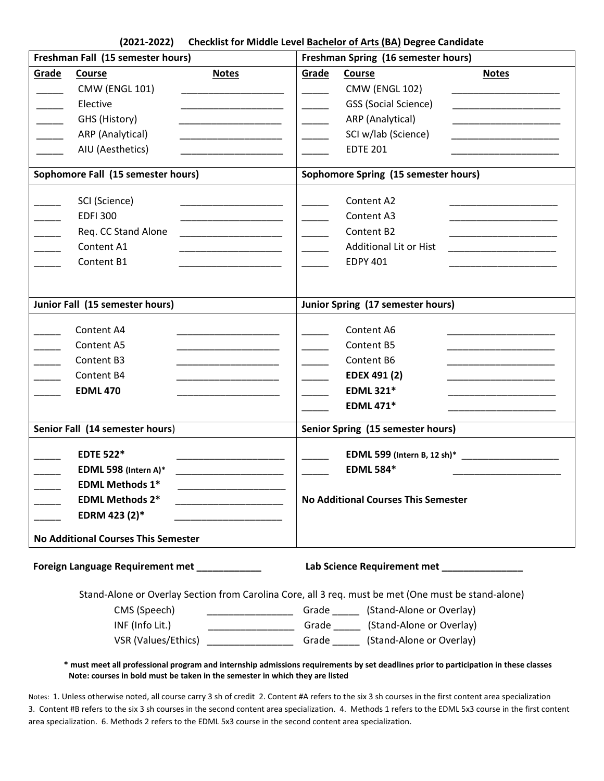| Freshman Fall (15 semester hours)                                                                                                                                                                                                                                                                                                                                                                                                                                                                                                   | Freshman Spring (16 semester hours)                                                                                                                                                                                                                                                                                                    |  |  |
|-------------------------------------------------------------------------------------------------------------------------------------------------------------------------------------------------------------------------------------------------------------------------------------------------------------------------------------------------------------------------------------------------------------------------------------------------------------------------------------------------------------------------------------|----------------------------------------------------------------------------------------------------------------------------------------------------------------------------------------------------------------------------------------------------------------------------------------------------------------------------------------|--|--|
| Grade<br>Course<br><b>Notes</b><br><b>CMW (ENGL 101)</b><br>Elective<br>GHS (History)<br><u> 1989 - Johann John Harry Harry Harry Harry Harry Harry Harry Harry Harry Harry Harry Harry Harry Harry Harry Harry Harry Harry Harry Harry Harry Harry Harry Harry Harry Harry Harry Harry Harry Harry Harry Harry Harry Har</u><br>ARP (Analytical)<br>AIU (Aesthetics)<br><u> 1980 - Johann Stein, mars and de Brandenburg and de Brandenburg and de Brandenburg and de Brandenburg and de</u><br>Sophomore Fall (15 semester hours) | Grade<br><b>Course</b><br><b>Notes</b><br><b>CMW (ENGL 102)</b><br><b>GSS (Social Science)</b><br>ARP (Analytical)<br>the property of the company of the company of<br>SCI w/lab (Science)<br><b>EDTE 201</b><br>Sophomore Spring (15 semester hours)                                                                                  |  |  |
| SCI (Science)<br><b>EDFI 300</b><br>Req. CC Stand Alone<br><u> 1980 - John Harry Harry Harry Harry Harry Harry Harry Harry Harry Harry Harry Harry Harry Harry Harry Harry</u><br>Content A1<br>Content B1<br><u> 1980 - John Stein, mars and de Barbara</u>                                                                                                                                                                                                                                                                        | Content A2<br>Content A3<br>Content B2<br><u> 1990 - Johann Barbara, martin a</u><br>Additional Lit or Hist<br><u> 1990 - Johann Barn, mars ann an t-</u><br><b>EDPY 401</b>                                                                                                                                                           |  |  |
| Junior Fall (15 semester hours)                                                                                                                                                                                                                                                                                                                                                                                                                                                                                                     | Junior Spring (17 semester hours)                                                                                                                                                                                                                                                                                                      |  |  |
| Content A4<br>Content A5<br><u> 1990 - Johann John Harry Barnett, fransk konge</u><br>Content B3<br>Content B4<br><b>EDML 470</b>                                                                                                                                                                                                                                                                                                                                                                                                   | Content A6<br>Content B5<br>Content B6<br>EDEX 491 (2)<br><u> 1989 - Johann John Harry Harry Harry Harry Harry Harry Harry Harry Harry Harry Harry Harry Harry Harry Harry Harry Harry Harry Harry Harry Harry Harry Harry Harry Harry Harry Harry Harry Harry Harry Harry Harry Harry Har</u><br><b>EDML 321*</b><br><b>EDML 471*</b> |  |  |
| Senior Fall (14 semester hours)                                                                                                                                                                                                                                                                                                                                                                                                                                                                                                     | Senior Spring (15 semester hours)                                                                                                                                                                                                                                                                                                      |  |  |
| <b>EDTE 522*</b><br>EDML 598 (Intern A)*<br><b>EDML Methods 1*</b><br><b>EDML Methods 2*</b><br>EDRM 423 (2)*<br><b>No Additional Courses This Semester</b>                                                                                                                                                                                                                                                                                                                                                                         | <b>EDML 584*</b><br><b>No Additional Courses This Semester</b>                                                                                                                                                                                                                                                                         |  |  |
|                                                                                                                                                                                                                                                                                                                                                                                                                                                                                                                                     |                                                                                                                                                                                                                                                                                                                                        |  |  |
| Foreign Language Requirement met ____________<br>CMS (Speech)<br>INF (Info Lit.)<br>VSR (Values/Ethics) _______________________Grade _______ (Stand-Alone or Overlay)                                                                                                                                                                                                                                                                                                                                                               | Lab Science Requirement met ________________<br>Stand-Alone or Overlay Section from Carolina Core, all 3 req. must be met (One must be stand-alone)<br>______________________Grade ________ (Stand-Alone or Overlay)                                                                                                                   |  |  |
| Note: courses in bold must be taken in the semester in which they are listed                                                                                                                                                                                                                                                                                                                                                                                                                                                        | * must meet all professional program and internship admissions requirements by set deadlines prior to participation in these classes                                                                                                                                                                                                   |  |  |

 Notes: 1. Unless otherwise noted, all course carry 3 sh of credit 2. Content #A refers to the six 3 sh courses in the first content area specialization 3. Content #B refers to the six 3 sh courses in the second content area specialization. 4. Methods 1 refers to the EDML 5x3 course in the first content area specialization. 6. Methods 2 refers to the EDML 5x3 course in the second content area specialization.

## **(2021‐2022) Checklist for Middle Level Bachelor of Arts (BA) Degree Candidate**